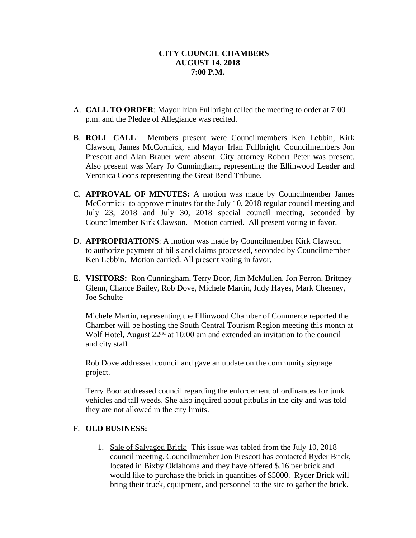- A. **CALL TO ORDER**: Mayor Irlan Fullbright called the meeting to order at 7:00 p.m. and the Pledge of Allegiance was recited.
- B. **ROLL CALL**: Members present were Councilmembers Ken Lebbin, Kirk Clawson, James McCormick, and Mayor Irlan Fullbright. Councilmembers Jon Prescott and Alan Brauer were absent. City attorney Robert Peter was present. Also present was Mary Jo Cunningham, representing the Ellinwood Leader and Veronica Coons representing the Great Bend Tribune.
- C. **APPROVAL OF MINUTES:** A motion was made by Councilmember James McCormick to approve minutes for the July 10, 2018 regular council meeting and July 23, 2018 and July 30, 2018 special council meeting, seconded by Councilmember Kirk Clawson. Motion carried. All present voting in favor.
- D. **APPROPRIATIONS**: A motion was made by Councilmember Kirk Clawson to authorize payment of bills and claims processed, seconded by Councilmember Ken Lebbin. Motion carried. All present voting in favor.
- E. **VISITORS:** Ron Cunningham, Terry Boor, Jim McMullen, Jon Perron, Brittney Glenn, Chance Bailey, Rob Dove, Michele Martin, Judy Hayes, Mark Chesney, Joe Schulte

Michele Martin, representing the Ellinwood Chamber of Commerce reported the Chamber will be hosting the South Central Tourism Region meeting this month at Wolf Hotel, August 22<sup>nd</sup> at 10:00 am and extended an invitation to the council and city staff.

Rob Dove addressed council and gave an update on the community signage project.

Terry Boor addressed council regarding the enforcement of ordinances for junk vehicles and tall weeds. She also inquired about pitbulls in the city and was told they are not allowed in the city limits.

## F. **OLD BUSINESS:**

1. Sale of Salvaged Brick: This issue was tabled from the July 10, 2018 council meeting. Councilmember Jon Prescott has contacted Ryder Brick, located in Bixby Oklahoma and they have offered \$.16 per brick and would like to purchase the brick in quantities of \$5000. Ryder Brick will bring their truck, equipment, and personnel to the site to gather the brick.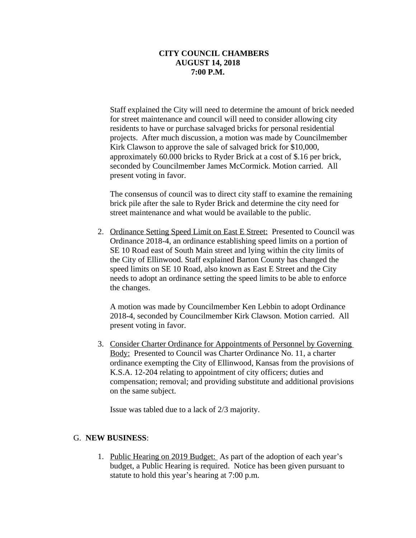Staff explained the City will need to determine the amount of brick needed for street maintenance and council will need to consider allowing city residents to have or purchase salvaged bricks for personal residential projects. After much discussion, a motion was made by Councilmember Kirk Clawson to approve the sale of salvaged brick for \$10,000, approximately 60.000 bricks to Ryder Brick at a cost of \$.16 per brick, seconded by Councilmember James McCormick. Motion carried. All present voting in favor.

The consensus of council was to direct city staff to examine the remaining brick pile after the sale to Ryder Brick and determine the city need for street maintenance and what would be available to the public.

2. Ordinance Setting Speed Limit on East E Street: Presented to Council was Ordinance 2018-4, an ordinance establishing speed limits on a portion of SE 10 Road east of South Main street and lying within the city limits of the City of Ellinwood. Staff explained Barton County has changed the speed limits on SE 10 Road, also known as East E Street and the City needs to adopt an ordinance setting the speed limits to be able to enforce the changes.

A motion was made by Councilmember Ken Lebbin to adopt Ordinance 2018-4, seconded by Councilmember Kirk Clawson. Motion carried. All present voting in favor.

3. Consider Charter Ordinance for Appointments of Personnel by Governing Body: Presented to Council was Charter Ordinance No. 11, a charter ordinance exempting the City of Ellinwood, Kansas from the provisions of K.S.A. 12-204 relating to appointment of city officers; duties and compensation; removal; and providing substitute and additional provisions on the same subject.

Issue was tabled due to a lack of 2/3 majority.

## G. **NEW BUSINESS**:

1. Public Hearing on 2019 Budget: As part of the adoption of each year's budget, a Public Hearing is required. Notice has been given pursuant to statute to hold this year's hearing at 7:00 p.m.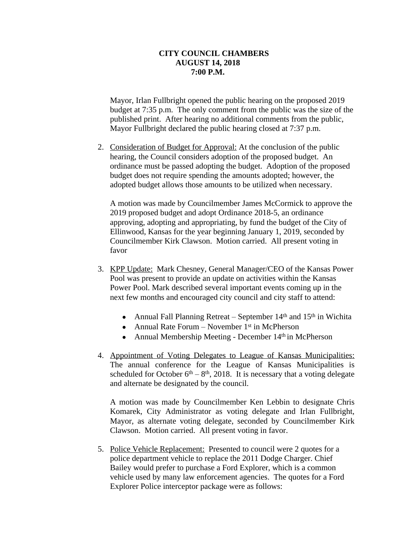Mayor, Irlan Fullbright opened the public hearing on the proposed 2019 budget at 7:35 p.m. The only comment from the public was the size of the published print. After hearing no additional comments from the public, Mayor Fullbright declared the public hearing closed at 7:37 p.m.

2. Consideration of Budget for Approval: At the conclusion of the public hearing, the Council considers adoption of the proposed budget. An ordinance must be passed adopting the budget. Adoption of the proposed budget does not require spending the amounts adopted; however, the adopted budget allows those amounts to be utilized when necessary.

A motion was made by Councilmember James McCormick to approve the 2019 proposed budget and adopt Ordinance 2018-5, an ordinance approving, adopting and appropriating, by fund the budget of the City of Ellinwood, Kansas for the year beginning January 1, 2019, seconded by Councilmember Kirk Clawson. Motion carried. All present voting in favor

- 3. KPP Update: Mark Chesney, General Manager/CEO of the Kansas Power Pool was present to provide an update on activities within the Kansas Power Pool. Mark described several important events coming up in the next few months and encouraged city council and city staff to attend:
	- Annual Fall Planning Retreat September  $14<sup>th</sup>$  and  $15<sup>th</sup>$  in Wichita
	- Annual Rate Forum November  $1<sup>st</sup>$  in McPherson
	- Annual Membership Meeting December  $14<sup>th</sup>$  in McPherson
- 4. Appointment of Voting Delegates to League of Kansas Municipalities: The annual conference for the League of Kansas Municipalities is scheduled for October  $6<sup>th</sup> - 8<sup>th</sup>$ , 2018. It is necessary that a voting delegate and alternate be designated by the council.

A motion was made by Councilmember Ken Lebbin to designate Chris Komarek, City Administrator as voting delegate and Irlan Fullbright, Mayor, as alternate voting delegate, seconded by Councilmember Kirk Clawson. Motion carried. All present voting in favor.

5. Police Vehicle Replacement: Presented to council were 2 quotes for a police department vehicle to replace the 2011 Dodge Charger. Chief Bailey would prefer to purchase a Ford Explorer, which is a common vehicle used by many law enforcement agencies. The quotes for a Ford Explorer Police interceptor package were as follows: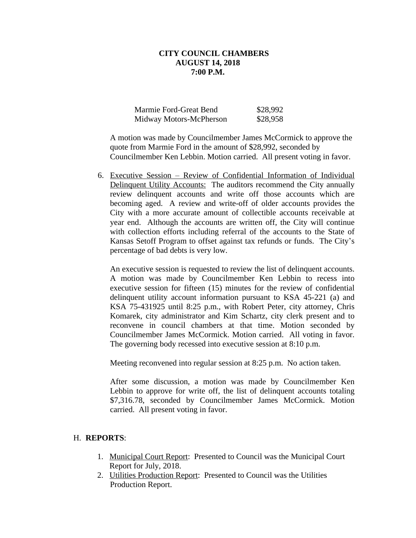| Marmie Ford-Great Bend  | \$28,992 |
|-------------------------|----------|
| Midway Motors-McPherson | \$28,958 |

A motion was made by Councilmember James McCormick to approve the quote from Marmie Ford in the amount of \$28,992, seconded by Councilmember Ken Lebbin. Motion carried. All present voting in favor.

6. Executive Session – Review of Confidential Information of Individual Delinquent Utility Accounts: The auditors recommend the City annually review delinquent accounts and write off those accounts which are becoming aged. A review and write-off of older accounts provides the City with a more accurate amount of collectible accounts receivable at year end. Although the accounts are written off, the City will continue with collection efforts including referral of the accounts to the State of Kansas Setoff Program to offset against tax refunds or funds. The City's percentage of bad debts is very low.

An executive session is requested to review the list of delinquent accounts. A motion was made by Councilmember Ken Lebbin to recess into executive session for fifteen (15) minutes for the review of confidential delinquent utility account information pursuant to KSA 45-221 (a) and KSA 75-431925 until 8:25 p.m., with Robert Peter, city attorney, Chris Komarek, city administrator and Kim Schartz, city clerk present and to reconvene in council chambers at that time. Motion seconded by Councilmember James McCormick. Motion carried. All voting in favor. The governing body recessed into executive session at 8:10 p.m.

Meeting reconvened into regular session at 8:25 p.m. No action taken.

After some discussion, a motion was made by Councilmember Ken Lebbin to approve for write off, the list of delinquent accounts totaling \$7,316.78, seconded by Councilmember James McCormick. Motion carried. All present voting in favor.

## H. **REPORTS**:

- 1. Municipal Court Report: Presented to Council was the Municipal Court Report for July, 2018.
- 2. Utilities Production Report: Presented to Council was the Utilities Production Report.